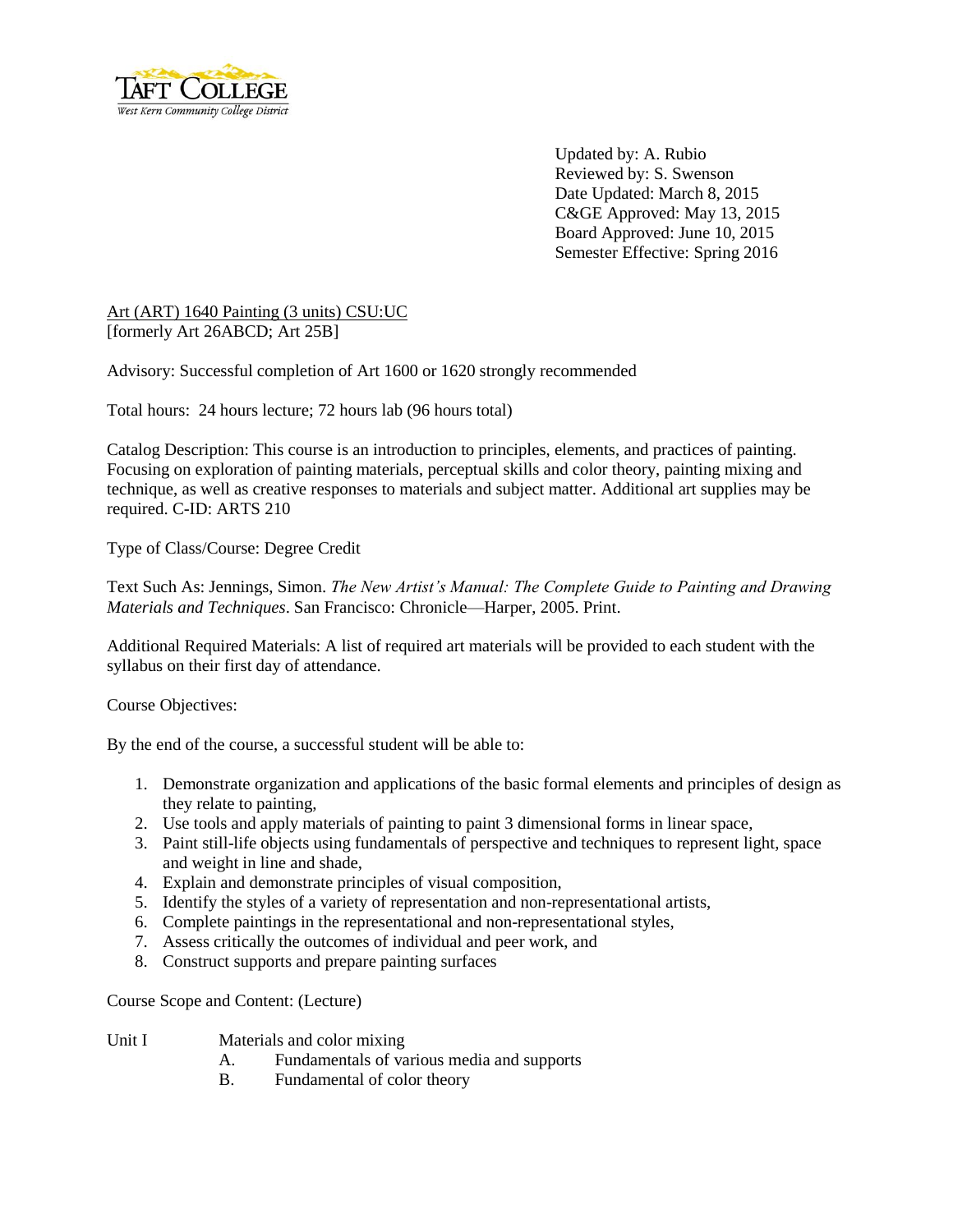

Updated by: A. Rubio Reviewed by: S. Swenson Date Updated: March 8, 2015 C&GE Approved: May 13, 2015 Board Approved: June 10, 2015 Semester Effective: Spring 2016

Art (ART) 1640 Painting (3 units) CSU:UC [formerly Art 26ABCD; Art 25B]

Advisory: Successful completion of Art 1600 or 1620 strongly recommended

Total hours: 24 hours lecture; 72 hours lab (96 hours total)

Catalog Description: This course is an introduction to principles, elements, and practices of painting. Focusing on exploration of painting materials, perceptual skills and color theory, painting mixing and technique, as well as creative responses to materials and subject matter. Additional art supplies may be required. C-ID: ARTS 210

Type of Class/Course: Degree Credit

Text Such As: Jennings, Simon. *The New Artist's Manual: The Complete Guide to Painting and Drawing Materials and Techniques*. San Francisco: Chronicle—Harper, 2005. Print.

Additional Required Materials: A list of required art materials will be provided to each student with the syllabus on their first day of attendance.

Course Objectives:

By the end of the course, a successful student will be able to:

- 1. Demonstrate organization and applications of the basic formal elements and principles of design as they relate to painting,
- 2. Use tools and apply materials of painting to paint 3 dimensional forms in linear space,
- 3. Paint still-life objects using fundamentals of perspective and techniques to represent light, space and weight in line and shade,
- 4. Explain and demonstrate principles of visual composition,
- 5. Identify the styles of a variety of representation and non-representational artists,
- 6. Complete paintings in the representational and non-representational styles,
- 7. Assess critically the outcomes of individual and peer work, and
- 8. Construct supports and prepare painting surfaces

Course Scope and Content: (Lecture)

- Unit I Materials and color mixing
	- A. Fundamentals of various media and supports
	- B. Fundamental of color theory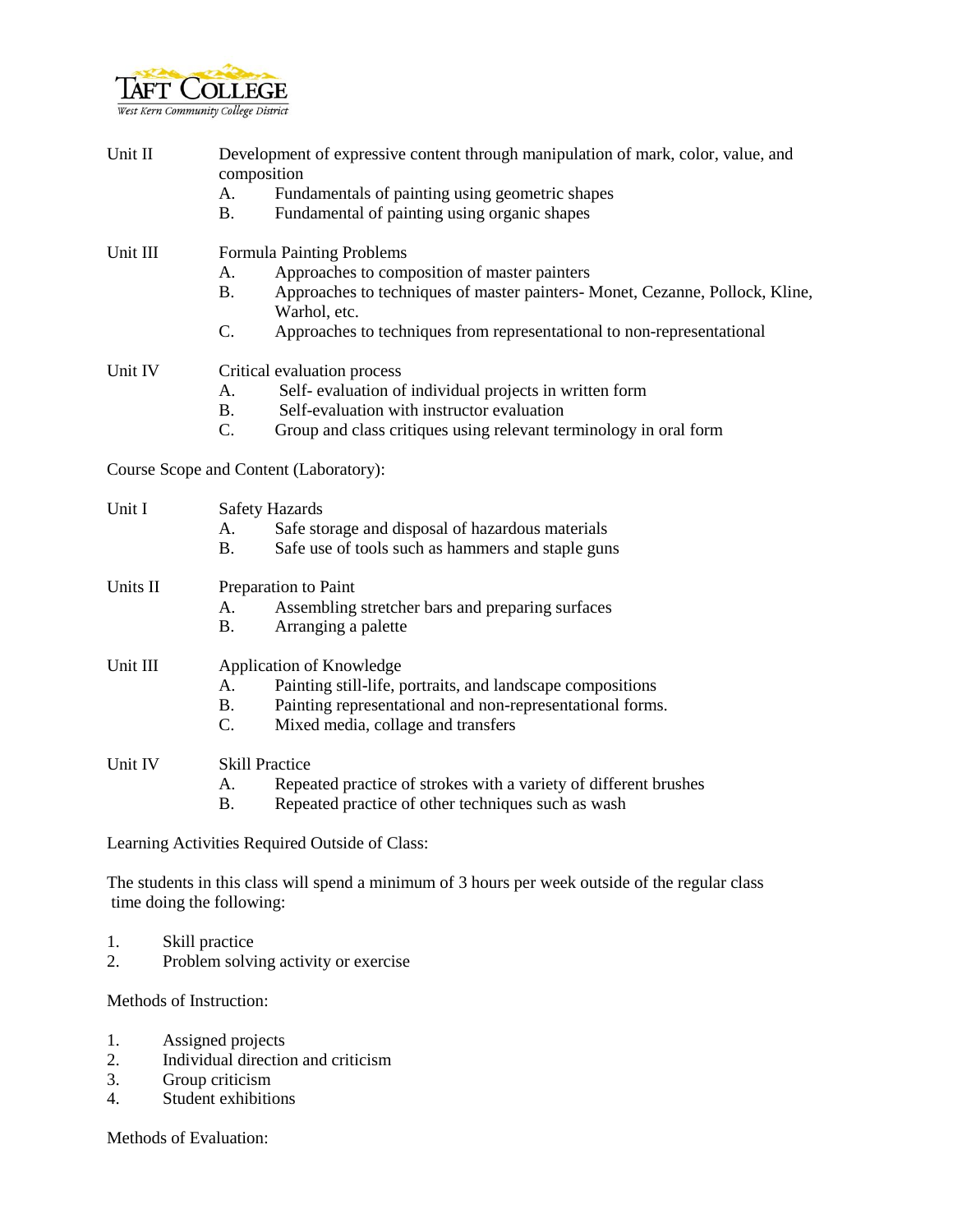

| Unit II | Development of expressive content through manipulation of mark, color, value, and |
|---------|-----------------------------------------------------------------------------------|
|         | composition                                                                       |

- A. Fundamentals of painting using geometric shapes
- B. Fundamental of painting using organic shapes

Unit III Formula Painting Problems

- A. Approaches to composition of master painters
- B. Approaches to techniques of master painters- Monet, Cezanne, Pollock, Kline, Warhol, etc.
- C. Approaches to techniques from representational to non-representational

## Unit IV Critical evaluation process

- A. Self- evaluation of individual projects in written form
- B. Self-evaluation with instructor evaluation
- C. Group and class critiques using relevant terminology in oral form

Course Scope and Content (Laboratory):

| Unit I   | <b>Safety Hazards</b><br>Safe storage and disposal of hazardous materials<br>А.<br>Safe use of tools such as hammers and staple guns<br>B.                                                                         |
|----------|--------------------------------------------------------------------------------------------------------------------------------------------------------------------------------------------------------------------|
| Units II | Preparation to Paint<br>Assembling stretcher bars and preparing surfaces<br>А.<br>В.<br>Arranging a palette                                                                                                        |
| Unit III | Application of Knowledge<br>Painting still-life, portraits, and landscape compositions<br>Α.<br>Painting representational and non-representational forms.<br><b>B.</b><br>C.<br>Mixed media, collage and transfers |
| Unit IV  | <b>Skill Practice</b><br>Repeated practice of strokes with a variety of different brushes<br>А.<br>В.<br>Repeated practice of other techniques such as wash                                                        |

Learning Activities Required Outside of Class:

The students in this class will spend a minimum of 3 hours per week outside of the regular class time doing the following:

- 1. Skill practice
- 2. Problem solving activity or exercise

Methods of Instruction:

- 1. Assigned projects
- 2. Individual direction and criticism
- 3. Group criticism
- 4. Student exhibitions

Methods of Evaluation: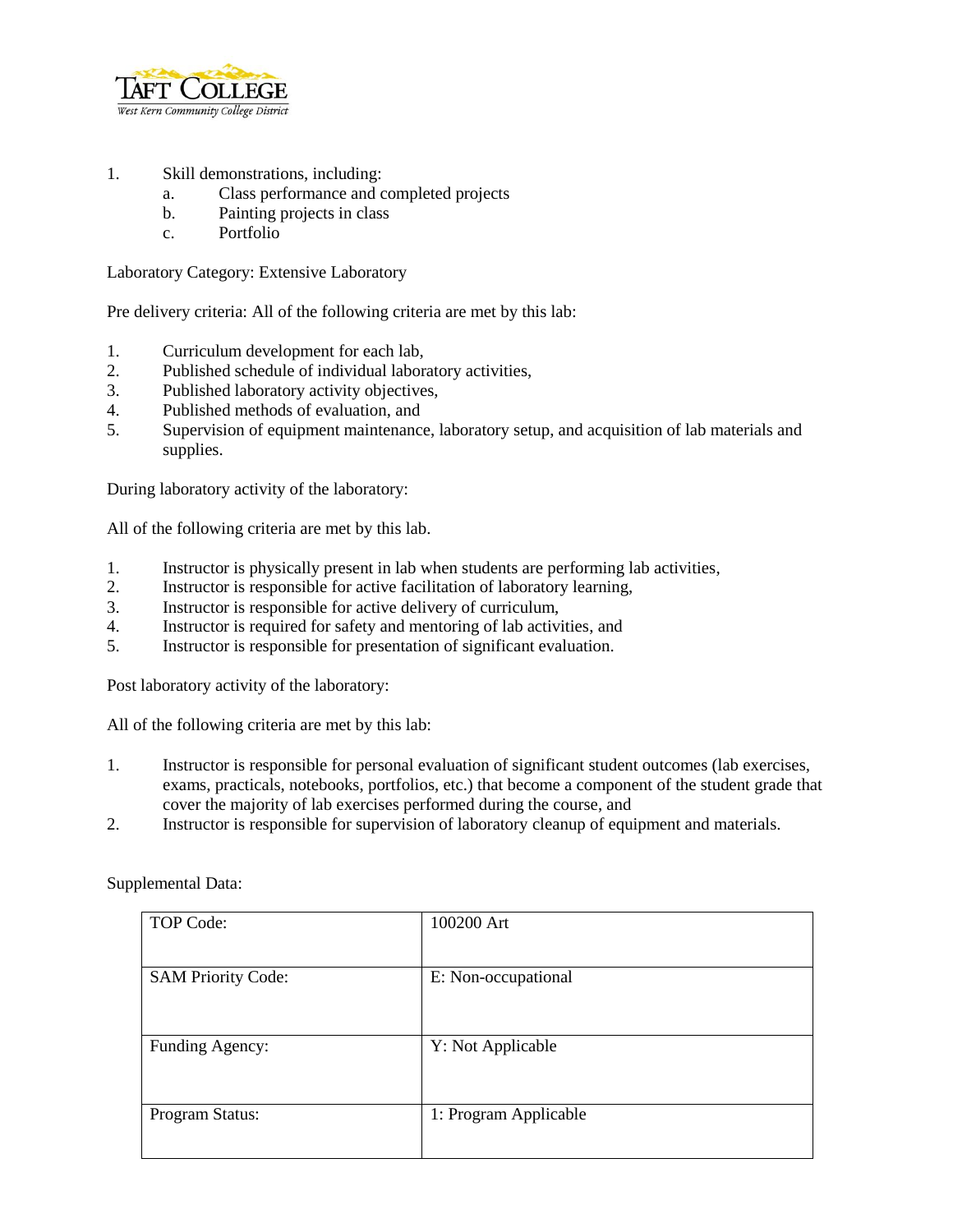

- 1. Skill demonstrations, including:
	- a. Class performance and completed projects
	- b. Painting projects in class
	- c. Portfolio

Laboratory Category: Extensive Laboratory

Pre delivery criteria: All of the following criteria are met by this lab:

- 1. Curriculum development for each lab,
- 2. Published schedule of individual laboratory activities,
- 3. Published laboratory activity objectives,
- 4. Published methods of evaluation, and
- 5. Supervision of equipment maintenance, laboratory setup, and acquisition of lab materials and supplies.

During laboratory activity of the laboratory:

All of the following criteria are met by this lab.

- 1. Instructor is physically present in lab when students are performing lab activities,
- 2. Instructor is responsible for active facilitation of laboratory learning,
- 3. Instructor is responsible for active delivery of curriculum,
- 4. Instructor is required for safety and mentoring of lab activities, and
- 5. Instructor is responsible for presentation of significant evaluation.

Post laboratory activity of the laboratory:

All of the following criteria are met by this lab:

- 1. Instructor is responsible for personal evaluation of significant student outcomes (lab exercises, exams, practicals, notebooks, portfolios, etc.) that become a component of the student grade that cover the majority of lab exercises performed during the course, and
- 2. Instructor is responsible for supervision of laboratory cleanup of equipment and materials.

| TOP Code:                 | 100200 Art            |
|---------------------------|-----------------------|
| <b>SAM Priority Code:</b> | E: Non-occupational   |
| Funding Agency:           | Y: Not Applicable     |
| Program Status:           | 1: Program Applicable |

Supplemental Data: